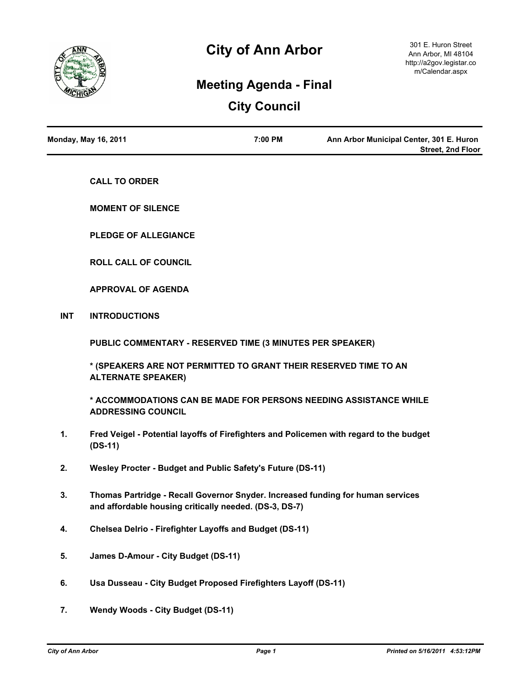

# **City of Ann Arbor**

# **Meeting Agenda - Final**

# **City Council**

| <b>Monday, May 16, 2011</b> | 7:00 PM | Ann Arbor Municipal Center, 301 E. Huron |
|-----------------------------|---------|------------------------------------------|
|                             |         | Street. 2nd Floor                        |

**CALL TO ORDER**

**MOMENT OF SILENCE**

**PLEDGE OF ALLEGIANCE**

**ROLL CALL OF COUNCIL**

**APPROVAL OF AGENDA**

**INT INTRODUCTIONS**

**PUBLIC COMMENTARY - RESERVED TIME (3 MINUTES PER SPEAKER)**

**\* (SPEAKERS ARE NOT PERMITTED TO GRANT THEIR RESERVED TIME TO AN ALTERNATE SPEAKER)**

**\* ACCOMMODATIONS CAN BE MADE FOR PERSONS NEEDING ASSISTANCE WHILE ADDRESSING COUNCIL**

- **1. Fred Veigel Potential layoffs of Firefighters and Policemen with regard to the budget (DS-11)**
- **2. Wesley Procter Budget and Public Safety's Future (DS-11)**
- **3. Thomas Partridge Recall Governor Snyder. Increased funding for human services and affordable housing critically needed. (DS-3, DS-7)**
- **4. Chelsea Delrio Firefighter Layoffs and Budget (DS-11)**
- **5. James D-Amour City Budget (DS-11)**
- **6. Usa Dusseau City Budget Proposed Firefighters Layoff (DS-11)**
- **7. Wendy Woods City Budget (DS-11)**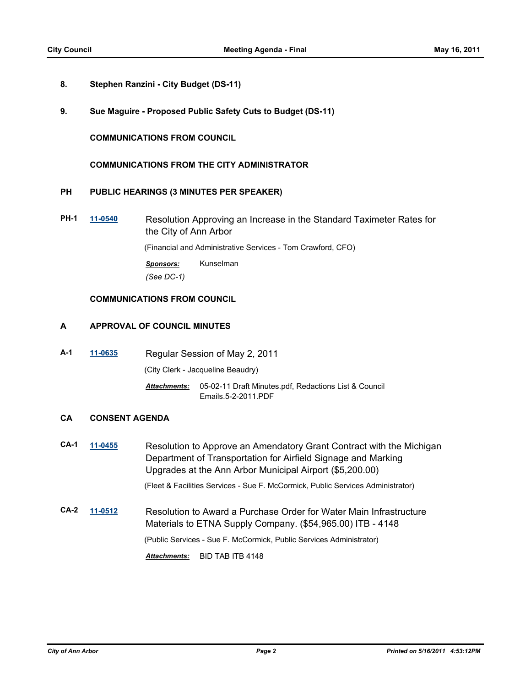- **8. Stephen Ranzini City Budget (DS-11)**
- **9. Sue Maguire Proposed Public Safety Cuts to Budget (DS-11)**

**COMMUNICATIONS FROM COUNCIL**

## **COMMUNICATIONS FROM THE CITY ADMINISTRATOR**

## **PH PUBLIC HEARINGS (3 MINUTES PER SPEAKER)**

**PH-1 [11-0540](http://a2gov.legistar.com/gateway.aspx?M=L&ID=7278)** Resolution Approving an Increase in the Standard Taximeter Rates for the City of Ann Arbor

(Financial and Administrative Services - Tom Crawford, CFO)

*Sponsors:* Kunselman *(See DC-1)*

## **COMMUNICATIONS FROM COUNCIL**

# **A APPROVAL OF COUNCIL MINUTES**

**A-1 [11-0635](http://a2gov.legistar.com/gateway.aspx?M=L&ID=7371)** Regular Session of May 2, 2011

(City Clerk - Jacqueline Beaudry)

Attachments: 05-02-11 Draft Minutes.pdf, Redactions List & Council Emails.5-2-2011.PDF

## **CA CONSENT AGENDA**

**CA-1 [11-0455](http://a2gov.legistar.com/gateway.aspx?M=L&ID=7178)** Resolution to Approve an Amendatory Grant Contract with the Michigan Department of Transportation for Airfield Signage and Marking Upgrades at the Ann Arbor Municipal Airport (\$5,200.00)

(Fleet & Facilities Services - Sue F. McCormick, Public Services Administrator)

**CA-2 [11-0512](http://a2gov.legistar.com/gateway.aspx?M=L&ID=7251)** Resolution to Award a Purchase Order for Water Main Infrastructure Materials to ETNA Supply Company. (\$54,965.00) ITB - 4148 (Public Services - Sue F. McCormick, Public Services Administrator) *Attachments:* BID TAB ITB 4148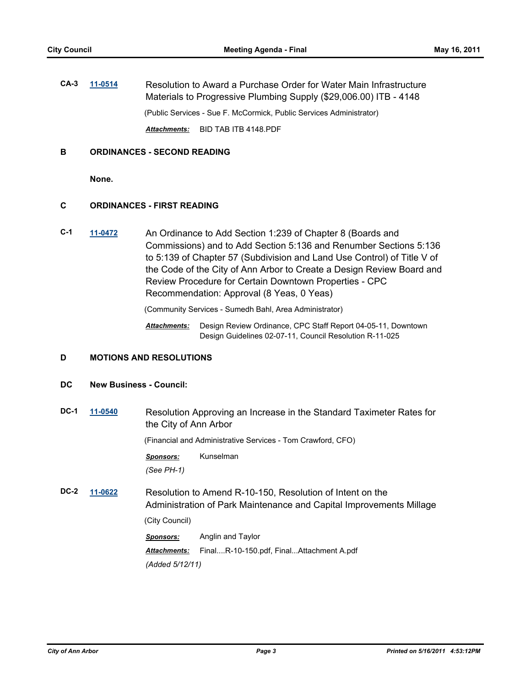**CA-3 [11-0514](http://a2gov.legistar.com/gateway.aspx?M=L&ID=7252)** Resolution to Award a Purchase Order for Water Main Infrastructure Materials to Progressive Plumbing Supply (\$29,006.00) ITB - 4148 (Public Services - Sue F. McCormick, Public Services Administrator) *Attachments:* BID TAB ITB 4148.PDF

## **B ORDINANCES - SECOND READING**

**None.**

# **C ORDINANCES - FIRST READING**

**C-1 [11-0472](http://a2gov.legistar.com/gateway.aspx?M=L&ID=7197)** An Ordinance to Add Section 1:239 of Chapter 8 (Boards and Commissions) and to Add Section 5:136 and Renumber Sections 5:136 to 5:139 of Chapter 57 (Subdivision and Land Use Control) of Title V of the Code of the City of Ann Arbor to Create a Design Review Board and Review Procedure for Certain Downtown Properties - CPC Recommendation: Approval (8 Yeas, 0 Yeas)

(Community Services - Sumedh Bahl, Area Administrator)

Attachments: Design Review Ordinance, CPC Staff Report 04-05-11, Downtown Design Guidelines 02-07-11, Council Resolution R-11-025

# **D MOTIONS AND RESOLUTIONS**

#### **DC New Business - Council:**

**DC-1 [11-0540](http://a2gov.legistar.com/gateway.aspx?M=L&ID=7278)** Resolution Approving an Increase in the Standard Taximeter Rates for the City of Ann Arbor

(Financial and Administrative Services - Tom Crawford, CFO)

*Sponsors:* Kunselman *(See PH-1)*

**DC-2 [11-0622](http://a2gov.legistar.com/gateway.aspx?M=L&ID=7358)** Resolution to Amend R-10-150, Resolution of Intent on the Administration of Park Maintenance and Capital Improvements Millage

(City Council)

*Sponsors:* Anglin and Taylor *Attachments:* Final....R-10-150.pdf, Final...Attachment A.pdf *(Added 5/12/11)*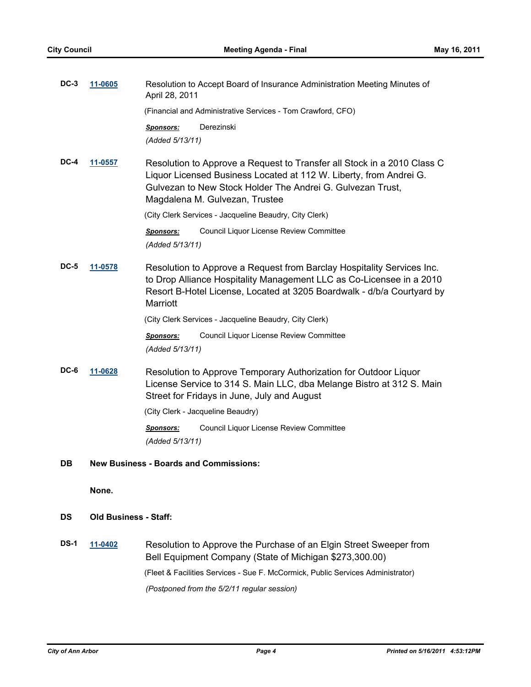| $DC-3$      | 11-0605        | Resolution to Accept Board of Insurance Administration Meeting Minutes of<br>April 28, 2011                                                                                                                                                   |  |
|-------------|----------------|-----------------------------------------------------------------------------------------------------------------------------------------------------------------------------------------------------------------------------------------------|--|
|             |                | (Financial and Administrative Services - Tom Crawford, CFO)                                                                                                                                                                                   |  |
|             |                | Derezinski<br><u>Sponsors:</u><br>(Added 5/13/11)                                                                                                                                                                                             |  |
| DC-4        | <u>11-0557</u> | Resolution to Approve a Request to Transfer all Stock in a 2010 Class C<br>Liquor Licensed Business Located at 112 W. Liberty, from Andrei G.<br>Gulvezan to New Stock Holder The Andrei G. Gulvezan Trust,<br>Magdalena M. Gulvezan, Trustee |  |
|             |                | (City Clerk Services - Jacqueline Beaudry, City Clerk)                                                                                                                                                                                        |  |
|             |                | Council Liquor License Review Committee<br><b>Sponsors:</b><br>(Added 5/13/11)                                                                                                                                                                |  |
| <b>DC-5</b> | 11-0578        | Resolution to Approve a Request from Barclay Hospitality Services Inc.<br>to Drop Alliance Hospitality Management LLC as Co-Licensee in a 2010<br>Resort B-Hotel License, Located at 3205 Boardwalk - d/b/a Courtyard by<br><b>Marriott</b>   |  |
|             |                | (City Clerk Services - Jacqueline Beaudry, City Clerk)                                                                                                                                                                                        |  |
|             |                | Council Liquor License Review Committee<br><b>Sponsors:</b><br>(Added 5/13/11)                                                                                                                                                                |  |
| DC-6        | 11-0628        | Resolution to Approve Temporary Authorization for Outdoor Liquor<br>License Service to 314 S. Main LLC, dba Melange Bistro at 312 S. Main<br>Street for Fridays in June, July and August                                                      |  |
|             |                | (City Clerk - Jacqueline Beaudry)                                                                                                                                                                                                             |  |
|             |                | Council Liquor License Review Committee<br><b>Sponsors:</b><br>(Added 5/13/11)                                                                                                                                                                |  |
| DB          |                | <b>New Business - Boards and Commissions:</b>                                                                                                                                                                                                 |  |
|             | None.          |                                                                                                                                                                                                                                               |  |

# **DS Old Business - Staff:**

**DS-1 [11-0402](http://a2gov.legistar.com/gateway.aspx?M=L&ID=7128)** Resolution to Approve the Purchase of an Elgin Street Sweeper from Bell Equipment Company (State of Michigan \$273,300.00) (Fleet & Facilities Services - Sue F. McCormick, Public Services Administrator) *(Postponed from the 5/2/11 regular session)*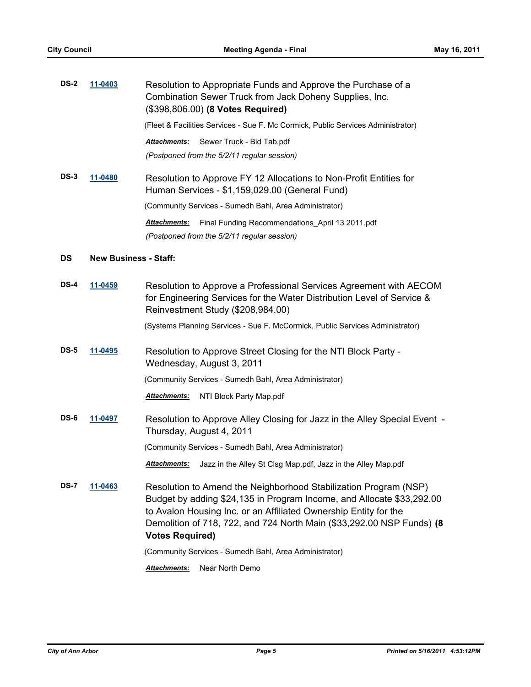| <b>DS-2</b> | 11-0403                      | Resolution to Appropriate Funds and Approve the Purchase of a<br>Combination Sewer Truck from Jack Doheny Supplies, Inc.<br>(\$398,806.00) (8 Votes Required)                                                                                                                                                    |
|-------------|------------------------------|------------------------------------------------------------------------------------------------------------------------------------------------------------------------------------------------------------------------------------------------------------------------------------------------------------------|
|             |                              | (Fleet & Facilities Services - Sue F. Mc Cormick, Public Services Administrator)                                                                                                                                                                                                                                 |
|             |                              | Attachments:<br>Sewer Truck - Bid Tab.pdf                                                                                                                                                                                                                                                                        |
|             |                              | (Postponed from the 5/2/11 regular session)                                                                                                                                                                                                                                                                      |
| <b>DS-3</b> | 11-0480                      | Resolution to Approve FY 12 Allocations to Non-Profit Entities for<br>Human Services - \$1,159,029.00 (General Fund)                                                                                                                                                                                             |
|             |                              | (Community Services - Sumedh Bahl, Area Administrator)                                                                                                                                                                                                                                                           |
|             |                              | Attachments:<br>Final Funding Recommendations_April 13 2011.pdf<br>(Postponed from the 5/2/11 regular session)                                                                                                                                                                                                   |
| <b>DS</b>   | <b>New Business - Staff:</b> |                                                                                                                                                                                                                                                                                                                  |
| DS-4        | 11-0459                      | Resolution to Approve a Professional Services Agreement with AECOM                                                                                                                                                                                                                                               |
|             |                              | for Engineering Services for the Water Distribution Level of Service &<br>Reinvestment Study (\$208,984.00)                                                                                                                                                                                                      |
|             |                              | (Systems Planning Services - Sue F. McCormick, Public Services Administrator)                                                                                                                                                                                                                                    |
| <b>DS-5</b> | 11-0495                      | Resolution to Approve Street Closing for the NTI Block Party -<br>Wednesday, August 3, 2011                                                                                                                                                                                                                      |
|             |                              | (Community Services - Sumedh Bahl, Area Administrator)                                                                                                                                                                                                                                                           |
|             |                              | <u> Attachments:</u><br>NTI Block Party Map.pdf                                                                                                                                                                                                                                                                  |
| DS-6        | 11-0497                      | Resolution to Approve Alley Closing for Jazz in the Alley Special Event -<br>Thursday, August 4, 2011                                                                                                                                                                                                            |
|             |                              | (Community Services - Sumedh Bahl, Area Administrator)                                                                                                                                                                                                                                                           |
|             |                              | Attachments: Jazz in the Alley St Clsg Map.pdf, Jazz in the Alley Map.pdf                                                                                                                                                                                                                                        |
| <b>DS-7</b> | <u>11-0463</u>               | Resolution to Amend the Neighborhood Stabilization Program (NSP)<br>Budget by adding \$24,135 in Program Income, and Allocate \$33,292.00<br>to Avalon Housing Inc. or an Affiliated Ownership Entity for the<br>Demolition of 718, 722, and 724 North Main (\$33,292.00 NSP Funds) (8<br><b>Votes Required)</b> |
|             |                              | (Community Services - Sumedh Bahl, Area Administrator)                                                                                                                                                                                                                                                           |
|             |                              | <b>Attachments:</b><br>Near North Demo                                                                                                                                                                                                                                                                           |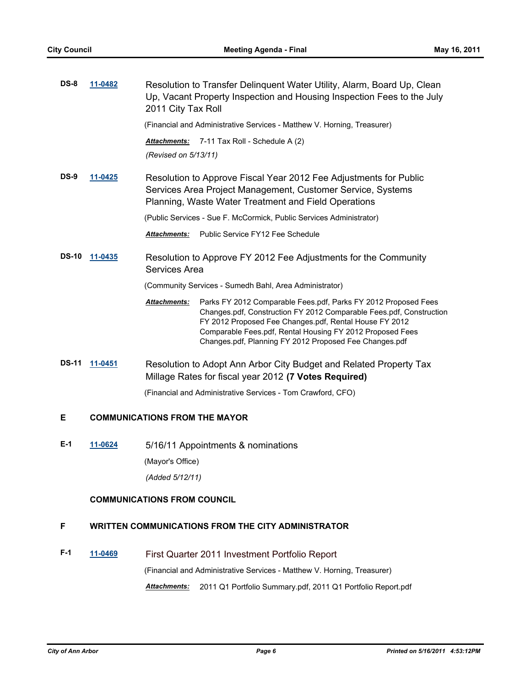| $DS-8$       | 11-0482 | Resolution to Transfer Delinquent Water Utility, Alarm, Board Up, Clean<br>Up, Vacant Property Inspection and Housing Inspection Fees to the July<br>2011 City Tax Roll                                                                                                                                                                       |
|--------------|---------|-----------------------------------------------------------------------------------------------------------------------------------------------------------------------------------------------------------------------------------------------------------------------------------------------------------------------------------------------|
|              |         | (Financial and Administrative Services - Matthew V. Horning, Treasurer)                                                                                                                                                                                                                                                                       |
|              |         | Attachments:<br>7-11 Tax Roll - Schedule A (2)<br>(Revised on 5/13/11)                                                                                                                                                                                                                                                                        |
| $DS-9$       | 11-0425 | Resolution to Approve Fiscal Year 2012 Fee Adjustments for Public<br>Services Area Project Management, Customer Service, Systems<br>Planning, Waste Water Treatment and Field Operations                                                                                                                                                      |
|              |         | (Public Services - Sue F. McCormick, Public Services Administrator)                                                                                                                                                                                                                                                                           |
|              |         | Public Service FY12 Fee Schedule<br><b>Attachments:</b>                                                                                                                                                                                                                                                                                       |
| <b>DS-10</b> | 11-0435 | Resolution to Approve FY 2012 Fee Adjustments for the Community<br>Services Area                                                                                                                                                                                                                                                              |
|              |         | (Community Services - Sumedh Bahl, Area Administrator)                                                                                                                                                                                                                                                                                        |
|              |         | <b>Attachments:</b><br>Parks FY 2012 Comparable Fees.pdf, Parks FY 2012 Proposed Fees<br>Changes.pdf, Construction FY 2012 Comparable Fees.pdf, Construction<br>FY 2012 Proposed Fee Changes.pdf, Rental House FY 2012<br>Comparable Fees.pdf, Rental Housing FY 2012 Proposed Fees<br>Changes.pdf, Planning FY 2012 Proposed Fee Changes.pdf |
| <b>DS-11</b> | 11-0451 | Resolution to Adopt Ann Arbor City Budget and Related Property Tax<br>Millage Rates for fiscal year 2012 (7 Votes Required)                                                                                                                                                                                                                   |
|              |         | (Financial and Administrative Services - Tom Crawford, CFO)                                                                                                                                                                                                                                                                                   |
| Е            |         | <b>COMMUNICATIONS FROM THE MAYOR</b>                                                                                                                                                                                                                                                                                                          |

**E-1 [11-0624](http://a2gov.legistar.com/gateway.aspx?M=L&ID=7360)** 5/16/11 Appointments & nominations

(Mayor's Office)

*(Added 5/12/11)*

# **COMMUNICATIONS FROM COUNCIL**

# **F WRITTEN COMMUNICATIONS FROM THE CITY ADMINISTRATOR**

**F-1 [11-0469](http://a2gov.legistar.com/gateway.aspx?M=L&ID=7194)** First Quarter 2011 Investment Portfolio Report (Financial and Administrative Services - Matthew V. Horning, Treasurer) *Attachments:* 2011 Q1 Portfolio Summary.pdf, 2011 Q1 Portfolio Report.pdf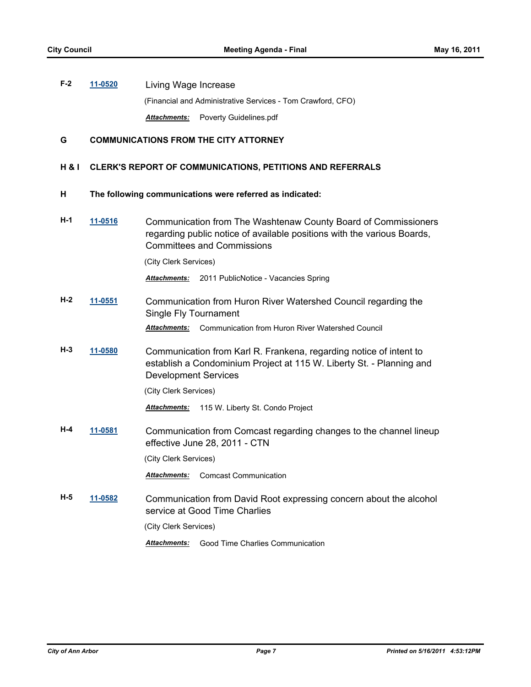**F-2 [11-0520](http://a2gov.legistar.com/gateway.aspx?M=L&ID=7258)** Living Wage Increase (Financial and Administrative Services - Tom Crawford, CFO) *Attachments:* Poverty Guidelines.pdf

# **G COMMUNICATIONS FROM THE CITY ATTORNEY**

## **H & I CLERK'S REPORT OF COMMUNICATIONS, PETITIONS AND REFERRALS**

#### **H The following communications were referred as indicated:**

**H-1 [11-0516](http://a2gov.legistar.com/gateway.aspx?M=L&ID=7254)** Communication from The Washtenaw County Board of Commissioners regarding public notice of available positions with the various Boards, Committees and Commissions

(City Clerk Services)

*Attachments:* 2011 PublicNotice - Vacancies Spring

**H-2 [11-0551](http://a2gov.legistar.com/gateway.aspx?M=L&ID=7286)** Communication from Huron River Watershed Council regarding the Single Fly Tournament

*Attachments:* Communication from Huron River Watershed Council

**H-3 [11-0580](http://a2gov.legistar.com/gateway.aspx?M=L&ID=7315)** Communication from Karl R. Frankena, regarding notice of intent to establish a Condominium Project at 115 W. Liberty St. - Planning and Development Services

(City Clerk Services)

*Attachments:* 115 W. Liberty St. Condo Project

**H-4 [11-0581](http://a2gov.legistar.com/gateway.aspx?M=L&ID=7316)** Communication from Comcast regarding changes to the channel lineup effective June 28, 2011 - CTN

(City Clerk Services)

*Attachments:* Comcast Communication

**H-5 [11-0582](http://a2gov.legistar.com/gateway.aspx?M=L&ID=7317)** Communication from David Root expressing concern about the alcohol service at Good Time Charlies

(City Clerk Services)

*Attachments:* Good Time Charlies Communication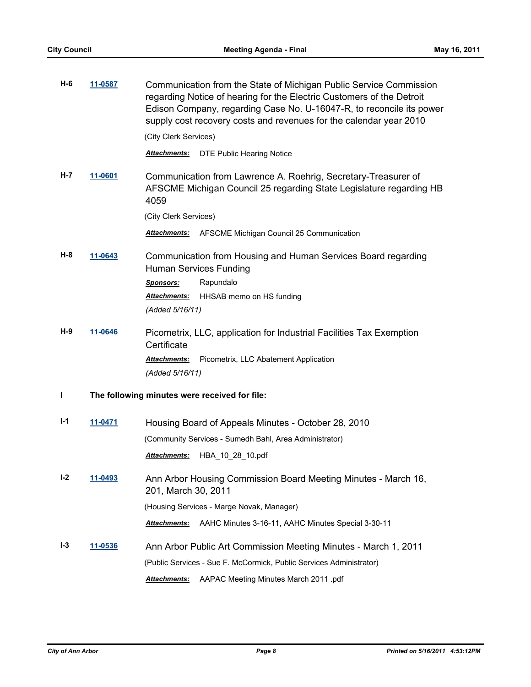| $H-6$   | 11-0587 | Communication from the State of Michigan Public Service Commission<br>regarding Notice of hearing for the Electric Customers of the Detroit<br>Edison Company, regarding Case No. U-16047-R, to reconcile its power<br>supply cost recovery costs and revenues for the calendar year 2010 |
|---------|---------|-------------------------------------------------------------------------------------------------------------------------------------------------------------------------------------------------------------------------------------------------------------------------------------------|
|         |         | (City Clerk Services)                                                                                                                                                                                                                                                                     |
|         |         | Attachments:<br><b>DTE Public Hearing Notice</b>                                                                                                                                                                                                                                          |
| H-7     | 11-0601 | Communication from Lawrence A. Roehrig, Secretary-Treasurer of<br>AFSCME Michigan Council 25 regarding State Legislature regarding HB<br>4059                                                                                                                                             |
|         |         | (City Clerk Services)                                                                                                                                                                                                                                                                     |
|         |         | AFSCME Michigan Council 25 Communication<br>Attachments:                                                                                                                                                                                                                                  |
| H-8     | 11-0643 | Communication from Housing and Human Services Board regarding<br><b>Human Services Funding</b>                                                                                                                                                                                            |
|         |         | Rapundalo<br><b>Sponsors:</b>                                                                                                                                                                                                                                                             |
|         |         | Attachments:<br>HHSAB memo on HS funding<br>(Added 5/16/11)                                                                                                                                                                                                                               |
| H-9     | 11-0646 | Picometrix, LLC, application for Industrial Facilities Tax Exemption<br>Certificate                                                                                                                                                                                                       |
|         |         | Attachments:<br>Picometrix, LLC Abatement Application<br>(Added 5/16/11)                                                                                                                                                                                                                  |
| L       |         | The following minutes were received for file:                                                                                                                                                                                                                                             |
| I-1     | 11-0471 | Housing Board of Appeals Minutes - October 28, 2010                                                                                                                                                                                                                                       |
|         |         | (Community Services - Sumedh Bahl, Area Administrator)                                                                                                                                                                                                                                    |
|         |         | Attachments:<br>HBA 10 28 10.pdf                                                                                                                                                                                                                                                          |
| $I - 2$ | 11-0493 | Ann Arbor Housing Commission Board Meeting Minutes - March 16,<br>201, March 30, 2011                                                                                                                                                                                                     |
|         |         | (Housing Services - Marge Novak, Manager)                                                                                                                                                                                                                                                 |
|         |         | Attachments:<br>AAHC Minutes 3-16-11, AAHC Minutes Special 3-30-11                                                                                                                                                                                                                        |
| $I - 3$ | 11-0536 | Ann Arbor Public Art Commission Meeting Minutes - March 1, 2011                                                                                                                                                                                                                           |
|         |         | (Public Services - Sue F. McCormick, Public Services Administrator)                                                                                                                                                                                                                       |
|         |         | Attachments:<br>AAPAC Meeting Minutes March 2011 .pdf                                                                                                                                                                                                                                     |
|         |         |                                                                                                                                                                                                                                                                                           |